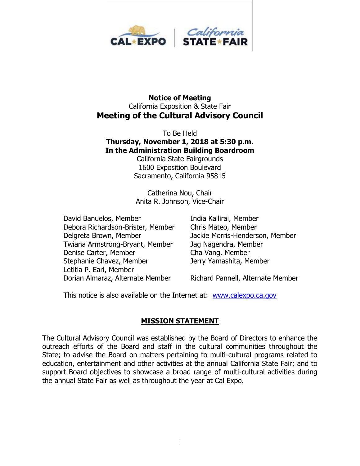

#### **Notice of Meeting** California Exposition & State Fair **Meeting of the Cultural Advisory Council**

To Be Held **Thursday, November 1, 2018 at 5:30 p.m. In the Administration Building Boardroom**

California State Fairgrounds 1600 Exposition Boulevard Sacramento, California 95815

Catherina Nou, Chair Anita R. Johnson, Vice-Chair

David Banuelos, Member **India Kallirai, Member** Debora Richardson-Brister, Member Chris Mateo, Member Delgreta Brown, Member Jackie Morris-Henderson, Member Twiana Armstrong-Bryant, Member Jag Nagendra, Member Denise Carter, Member Cha Vang, Member Stephanie Chavez, Member Jerry Yamashita, Member Letitia P. Earl, Member Dorian Almaraz, Alternate Member Richard Pannell, Alternate Member

This notice is also available on the Internet at: [www.calexpo.ca.gov](http://www.calexpo.ca.gov/)

#### **MISSION STATEMENT**

The Cultural Advisory Council was established by the Board of Directors to enhance the outreach efforts of the Board and staff in the cultural communities throughout the State; to advise the Board on matters pertaining to multi-cultural programs related to education, entertainment and other activities at the annual California State Fair; and to support Board objectives to showcase a broad range of multi-cultural activities during the annual State Fair as well as throughout the year at Cal Expo.